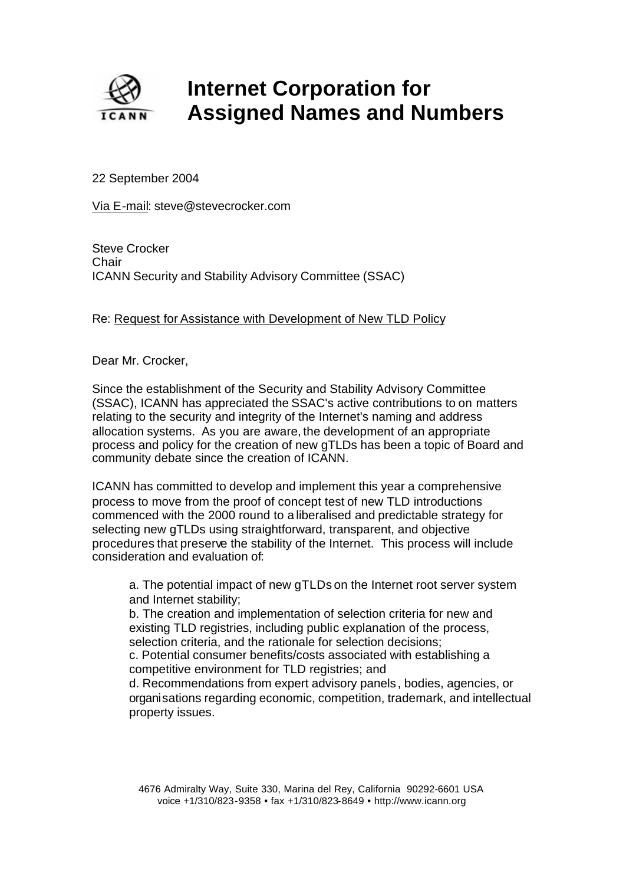

## **Internet Corporation for Assigned Names and Numbers**

22 September 2004

Via E-mail: steve@stevecrocker.com

Steve Crocker **Chair** ICANN Security and Stability Advisory Committee (SSAC)

## Re: Request for Assistance with Development of New TLD Policy

Dear Mr. Crocker,

Since the establishment of the Security and Stability Advisory Committee (SSAC), ICANN has appreciated the SSAC's active contributions to on matters relating to the security and integrity of the Internet's naming and address allocation systems. As you are aware, the development of an appropriate process and policy for the creation of new gTLDs has been a topic of Board and community debate since the creation of ICANN.

ICANN has committed to develop and implement this year a comprehensive process to move from the proof of concept test of new TLD introductions commenced with the 2000 round to a liberalised and predictable strategy for selecting new gTLDs using straightforward, transparent, and objective procedures that preserve the stability of the Internet. This process will include consideration and evaluation of:

a. The potential impact of new gTLDs on the Internet root server system and Internet stability;

b. The creation and implementation of selection criteria for new and existing TLD registries, including public explanation of the process, selection criteria, and the rationale for selection decisions;

c. Potential consumer benefits/costs associated with establishing a competitive environment for TLD registries; and

d. Recommendations from expert advisory panels , bodies, agencies, or organisations regarding economic, competition, trademark, and intellectual property issues.